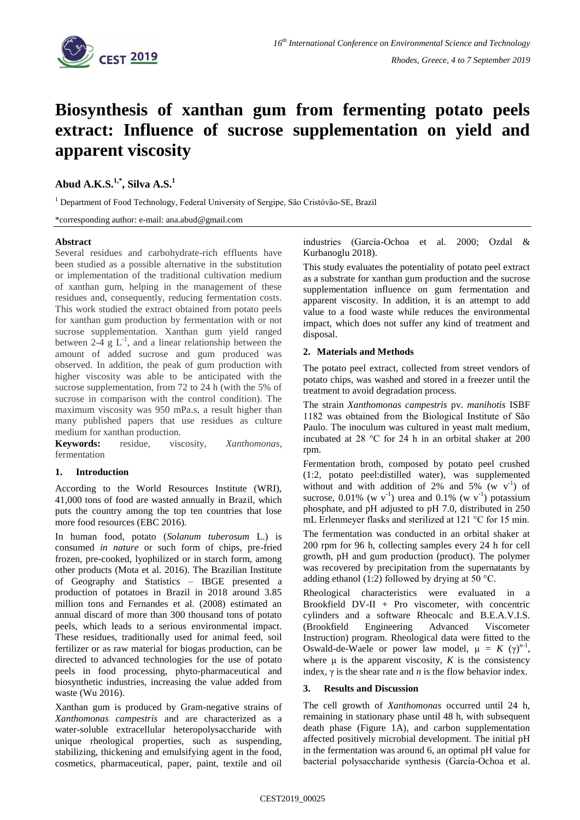

# **Biosynthesis of xanthan gum from fermenting potato peels extract: Influence of sucrose supplementation on yield and apparent viscosity**

# **Abud A.K.S. 1,\* , Silva A.S.<sup>1</sup>**

<sup>1</sup> Department of Food Technology, Federal University of Sergipe, São Cristóvão-SE, Brazil

\*corresponding author: e-mail: ana.abud@gmail.com

### **Abstract**

Several residues and carbohydrate-rich effluents have been studied as a possible alternative in the substitution or implementation of the traditional cultivation medium of xanthan gum, helping in the management of these residues and, consequently, reducing fermentation costs. This work studied the extract obtained from potato peels for xanthan gum production by fermentation with or not sucrose supplementation. Xanthan gum yield ranged between 2-4  $g L<sup>-1</sup>$ , and a linear relationship between the amount of added sucrose and gum produced was observed. In addition, the peak of gum production with higher viscosity was able to be anticipated with the sucrose supplementation, from 72 to 24 h (with the 5% of sucrose in comparison with the control condition). The maximum viscosity was 950 mPa.s, a result higher than many published papers that use residues as culture medium for xanthan production.

**Keywords:** residue, viscosity, *Xanthomonas*, fermentation

### **1. Introduction**

According to the World Resources Institute (WRI), 41,000 tons of food are wasted annually in Brazil, which puts the country among the top ten countries that lose more food resources (EBC 2016).

In human food, potato (*Solanum tuberosum* L.) is consumed *in nature* or such form of chips, pre-fried frozen, pre-cooked, lyophilized or in starch form, among other products (Mota et al. 2016). The Brazilian Institute of Geography and Statistics – IBGE presented a production of potatoes in Brazil in 2018 around 3.85 million tons and Fernandes et al. (2008) estimated an annual discard of more than 300 thousand tons of potato peels, which leads to a serious environmental impact. These residues, traditionally used for animal feed, soil fertilizer or as raw material for biogas production, can be directed to advanced technologies for the use of potato peels in food processing, phyto-pharmaceutical and biosynthetic industries, increasing the value added from waste (Wu 2016).

Xanthan gum is produced by Gram-negative strains of *Xanthomonas campestris* and are characterized as a water-soluble extracellular heteropolysaccharide with unique rheological properties, such as suspending, stabilizing, thickening and emulsifying agent in the food, cosmetics, pharmaceutical, paper, paint, textile and oil industries (García-Ochoa et al. 2000; Ozdal & Kurbanoglu 2018).

This study evaluates the potentiality of potato peel extract as a substrate for xanthan gum production and the sucrose supplementation influence on gum fermentation and apparent viscosity. In addition, it is an attempt to add value to a food waste while reduces the environmental impact, which does not suffer any kind of treatment and disposal.

#### **2. Materials and Methods**

The potato peel extract, collected from street vendors of potato chips, was washed and stored in a freezer until the treatment to avoid degradation process.

The strain *Xanthomonas campestris* pv. *manihotis* ISBF 1182 was obtained from the Biological Institute of São Paulo. The inoculum was cultured in yeast malt medium, incubated at 28 °C for 24 h in an orbital shaker at 200 rpm.

Fermentation broth, composed by potato peel crushed (1:2, potato peel:distilled water), was supplemented without and with addition of 2% and  $5\%$  (w v<sup>-1</sup>) of sucrose, 0.01% (w  $v^{-1}$ ) urea and 0.1% (w  $v^{-1}$ ) potassium phosphate, and pH adjusted to pH 7.0, distributed in 250 mL Erlenmeyer flasks and sterilized at 121 °C for 15 min.

The fermentation was conducted in an orbital shaker at 200 rpm for 96 h, collecting samples every 24 h for cell growth, pH and gum production (product). The polymer was recovered by precipitation from the supernatants by adding ethanol (1:2) followed by drying at 50  $\degree$ C.

Rheological characteristics were evaluated in a Brookfield  $DV-II + Pro$  viscometer, with concentric cylinders and a software Rheocalc and B.E.A.V.I.S. (Brookfield Engineering Advanced Viscometer Instruction) program. Rheological data were fitted to the Oswald-de-Waele or power law model,  $μ = K (γ)<sup>n-1</sup>$ , where  $\mu$  is the apparent viscosity, *K* is the consistency index,  $\gamma$  is the shear rate and *n* is the flow behavior index.

## **3. Results and Discussion**

The cell growth of *Xanthomonas* occurred until 24 h, remaining in stationary phase until 48 h, with subsequent death phase (Figure 1A), and carbon supplementation affected positively microbial development. The initial pH in the fermentation was around 6, an optimal pH value for bacterial polysaccharide synthesis (García-Ochoa et al.